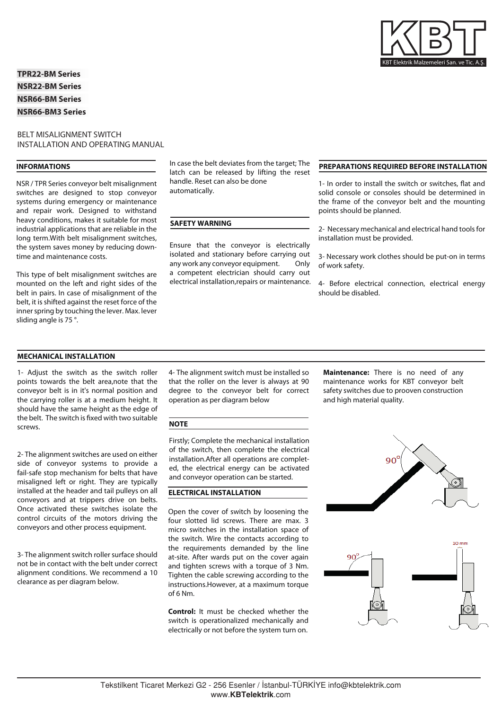KBT Elektrik Malzemeleri San. ve Tic. A.

**TPR22-BM Series NSR22-BM Series NSR66-BM Series NSR66-BM3 Series**

### BELT MISALIGNMENT SWITCH INSTALLATION AND OPERATING MANUAL

#### **INFORMATIONS**

NSR / TPR Series conveyor belt misalignment switches are designed to stop conveyor systems during emergency or maintenance and repair work. Designed to withstand heavy conditions, makes it suitable for most industrial applications that are reliable in the long term.With belt misalignment switches, the system saves money by reducing downtime and maintenance costs.

This type of belt misalignment switches are mounted on the left and right sides of the belt in pairs. In case of misalignment of the belt, it is shifted against the reset force of the inner spring by touching the lever. Max. lever sliding angle is 75 °.

In case the belt deviates from the target; The latch can be released by lifting the reset handle. Reset can also be done automatically.

### **SAFETY WARNING**

Ensure that the conveyor is electrically isolated and stationary before carrying out any work any conveyor equipment. Only a competent electrician should carry out electrical installation,repairs or maintenance.

### **PREPARATIONS REQUIRED BEFORE INSTALLATION**

1- In order to install the switch or switches, flat and solid console or consoles should be determined in the frame of the conveyor belt and the mounting points should be planned.

2- Necessary mechanical and electrical hand tools for installation must be provided.

3- Necessary work clothes should be put-on in terms of work safety.

4- Before electrical connection, electrical energy should be disabled.

#### **MECHANICAL INSTALLATION**

1- Adjust the switch as the switch roller points towards the belt area,note that the conveyor belt is in it's normal position and the carrying roller is at a medium height. It should have the same height as the edge of the belt. The switch is fixed with two suitable screws.

2- The alignment switches are used on either side of conveyor systems to provide a fail-safe stop mechanism for belts that have misaligned left or right. They are typically installed at the header and tail pulleys on all conveyors and at trippers drive on belts. Once activated these switches isolate the control circuits of the motors driving the conveyors and other process equipment.

3- The alignment switch roller surface should not be in contact with the belt under correct alignment conditions. We recommend a 10 clearance as per diagram below.

4- The alignment switch must be installed so that the roller on the lever is always at 90 degree to the conveyor belt for correct operation as per diagram below

#### **NOTE**

Firstly; Complete the mechanical installation of the switch, then complete the electrical installation.After all operations are completed, the electrical energy can be activated and conveyor operation can be started.

#### **ELECTRICAL INSTALLATION**

Open the cover of switch by loosening the four slotted lid screws. There are max. 3 micro switches in the installation space of the switch. Wire the contacts according to the requirements demanded by the line at-site. After wards put on the cover again and tighten screws with a torque of 3 Nm. Tighten the cable screwing according to the instructions.However, at a maximum torque of 6 Nm.

**Control:** It must be checked whether the switch is operationalized mechanically and electrically or not before the system turn on.

**Maintenance:** There is no need of any maintenance works for KBT conveyor belt safety switches due to prooven construction and high material quality.



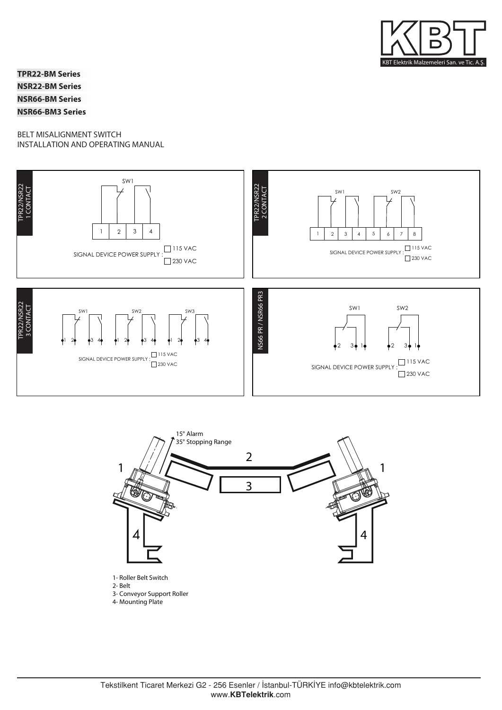

**TPR22-BM Series NSR22-BM Series NSR66-BM Series NSR66-BM3 Series**

# BELT MISALIGNMENT SWITCH INSTALLATION AND OPERATING MANUAL



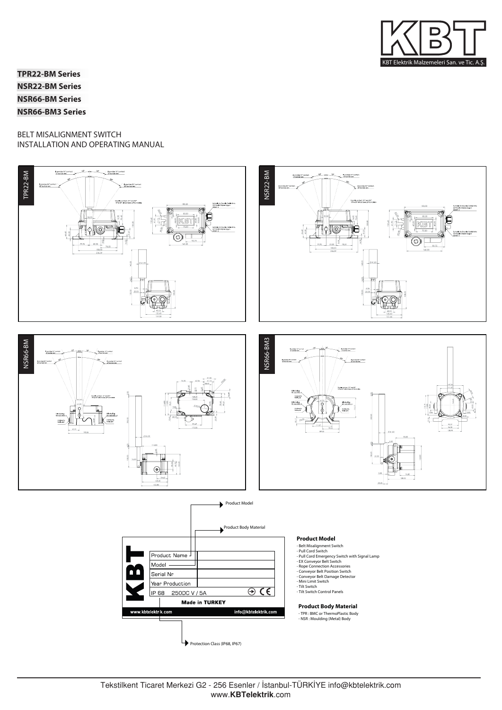

**TPR22-BM Series NSR22-BM Series NSR66-BM Series NSR66-BM3 Series**

# BELT MISALIGNMENT SWITCH INSTALLATION AND OPERATING MANUAL